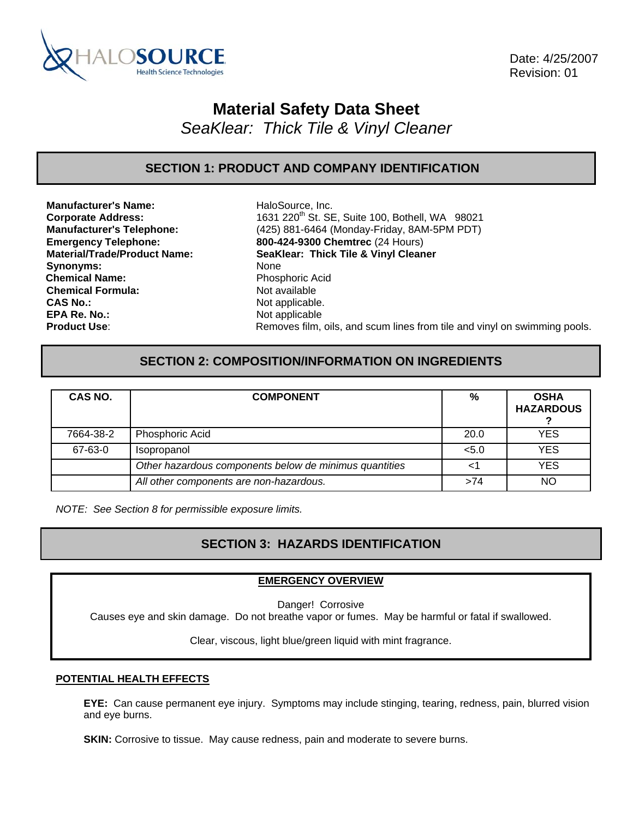

 Date: 4/25/2007 Revision: 01

# **Material Safety Data Sheet**

*SeaKlear: Thick Tile & Vinyl Cleaner* 

## **SECTION 1: PRODUCT AND COMPANY IDENTIFICATION**

**Manufacturer's Name:** HaloSource, Inc. Synonyms: None **Chemical Name:** Phosphoric Acid **Chemical Formula:** Not available **CAS No.: Not applicable. Not applicable. EPA Re. No.: Not applicable** 

**Corporate Address:** 1631 220th St. SE, Suite 100, Bothell, WA 98021 **Manufacturer's Telephone:** (425) 881-6464 (Monday-Friday, 8AM-5PM PDT) **Emergency Telephone: 800-424-9300 Chemtrec** (24 Hours) **Material/Trade/Product Name: SeaKlear: Thick Tile & Vinyl Cleaner Product Use:** Removes film, oils, and scum lines from tile and vinyl on swimming pools.

## **SECTION 2: COMPOSITION/INFORMATION ON INGREDIENTS**

| CAS NO.   | <b>COMPONENT</b>                                       | %     | <b>OSHA</b><br><b>HAZARDOUS</b> |
|-----------|--------------------------------------------------------|-------|---------------------------------|
| 7664-38-2 | Phosphoric Acid                                        | 20.0  | <b>YES</b>                      |
| 67-63-0   | <i>Isopropanol</i>                                     | < 5.0 | YES                             |
|           | Other hazardous components below de minimus quantities |       | <b>YES</b>                      |
|           | All other components are non-hazardous.                | >74   | NO                              |

*NOTE: See Section 8 for permissible exposure limits.* 

## **SECTION 3: HAZARDS IDENTIFICATION**

### **EMERGENCY OVERVIEW**

Danger! Corrosive

Causes eye and skin damage. Do not breathe vapor or fumes. May be harmful or fatal if swallowed.

Clear, viscous, light blue/green liquid with mint fragrance.

### **POTENTIAL HEALTH EFFECTS**

**EYE:** Can cause permanent eye injury. Symptoms may include stinging, tearing, redness, pain, blurred vision and eye burns.

**SKIN:** Corrosive to tissue. May cause redness, pain and moderate to severe burns.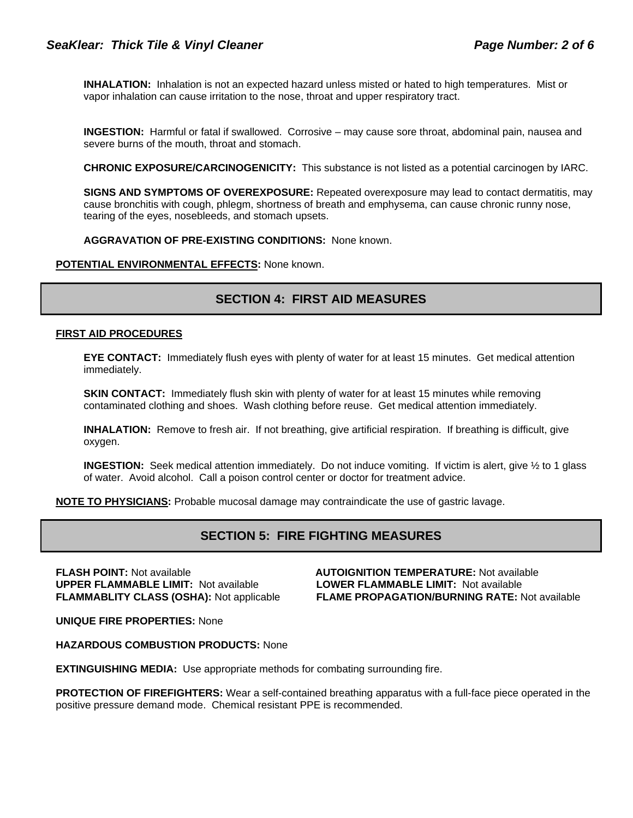**INHALATION:** Inhalation is not an expected hazard unless misted or hated to high temperatures. Mist or vapor inhalation can cause irritation to the nose, throat and upper respiratory tract.

**INGESTION:** Harmful or fatal if swallowed. Corrosive – may cause sore throat, abdominal pain, nausea and severe burns of the mouth, throat and stomach.

**CHRONIC EXPOSURE/CARCINOGENICITY:** This substance is not listed as a potential carcinogen by IARC.

**SIGNS AND SYMPTOMS OF OVEREXPOSURE:** Repeated overexposure may lead to contact dermatitis, may cause bronchitis with cough, phlegm, shortness of breath and emphysema, can cause chronic runny nose, tearing of the eyes, nosebleeds, and stomach upsets.

**AGGRAVATION OF PRE-EXISTING CONDITIONS:** None known.

**POTENTIAL ENVIRONMENTAL EFFECTS:** None known.

## **SECTION 4: FIRST AID MEASURES**

### **FIRST AID PROCEDURES**

**EYE CONTACT:** Immediately flush eyes with plenty of water for at least 15 minutes. Get medical attention immediately.

**SKIN CONTACT:** Immediately flush skin with plenty of water for at least 15 minutes while removing contaminated clothing and shoes. Wash clothing before reuse. Get medical attention immediately.

**INHALATION:** Remove to fresh air. If not breathing, give artificial respiration. If breathing is difficult, give oxygen.

**INGESTION:** Seek medical attention immediately. Do not induce vomiting. If victim is alert, give ½ to 1 glass of water. Avoid alcohol. Call a poison control center or doctor for treatment advice.

**NOTE TO PHYSICIANS:** Probable mucosal damage may contraindicate the use of gastric lavage.

### **SECTION 5: FIRE FIGHTING MEASURES**

**FLASH POINT:** Not available **AUTOIGNITION TEMPERATURE:** Not available **UPPER FLAMMABLE LIMIT:** Not available **LOWER FLAMMABLE LIMIT:** Not available

**FLAMMABLITY CLASS (OSHA):** Not applicable **FLAME PROPAGATION/BURNING RATE:** Not available

**UNIQUE FIRE PROPERTIES:** None

**HAZARDOUS COMBUSTION PRODUCTS:** None

**EXTINGUISHING MEDIA:** Use appropriate methods for combating surrounding fire.

**PROTECTION OF FIREFIGHTERS:** Wear a self-contained breathing apparatus with a full-face piece operated in the positive pressure demand mode. Chemical resistant PPE is recommended.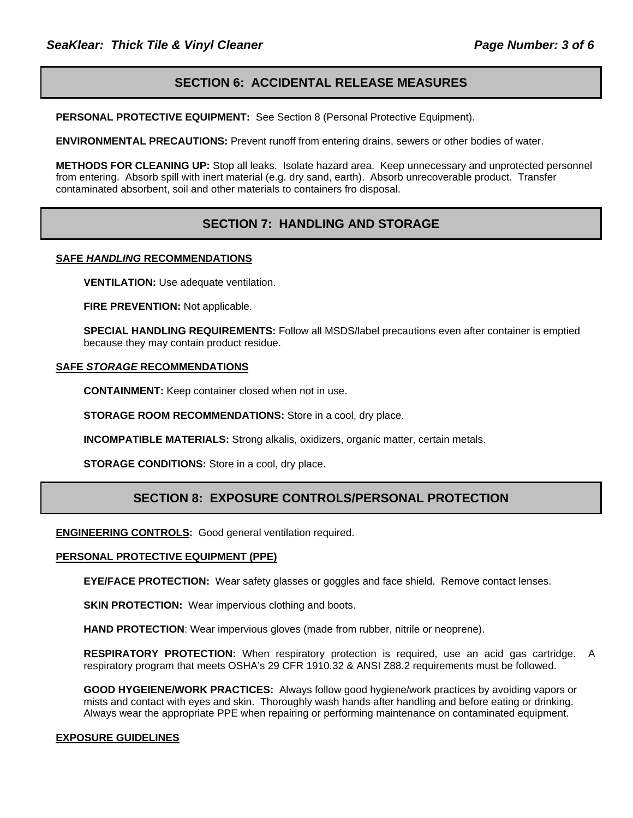## **SECTION 6: ACCIDENTAL RELEASE MEASURES**

**PERSONAL PROTECTIVE EQUIPMENT:** See Section 8 (Personal Protective Equipment).

**ENVIRONMENTAL PRECAUTIONS:** Prevent runoff from entering drains, sewers or other bodies of water.

**METHODS FOR CLEANING UP:** Stop all leaks. Isolate hazard area. Keep unnecessary and unprotected personnel from entering. Absorb spill with inert material (e.g. dry sand, earth). Absorb unrecoverable product. Transfer contaminated absorbent, soil and other materials to containers fro disposal.

## **SECTION 7: HANDLING AND STORAGE**

### **SAFE** *HANDLING* **RECOMMENDATIONS**

**VENTILATION:** Use adequate ventilation.

**FIRE PREVENTION: Not applicable.** 

**SPECIAL HANDLING REQUIREMENTS:** Follow all MSDS/label precautions even after container is emptied because they may contain product residue.

### **SAFE** *STORAGE* **RECOMMENDATIONS**

**CONTAINMENT:** Keep container closed when not in use.

**STORAGE ROOM RECOMMENDATIONS:** Store in a cool, dry place.

**INCOMPATIBLE MATERIALS:** Strong alkalis, oxidizers, organic matter, certain metals.

**STORAGE CONDITIONS:** Store in a cool, dry place.

### **SECTION 8: EXPOSURE CONTROLS/PERSONAL PROTECTION**

**ENGINEERING CONTROLS:** Good general ventilation required.

### **PERSONAL PROTECTIVE EQUIPMENT (PPE)**

**EYE/FACE PROTECTION:** Wear safety glasses or goggles and face shield. Remove contact lenses.

**SKIN PROTECTION:** Wear impervious clothing and boots.

**HAND PROTECTION**: Wear impervious gloves (made from rubber, nitrile or neoprene).

**RESPIRATORY PROTECTION:** When respiratory protection is required, use an acid gas cartridge. A respiratory program that meets OSHA's 29 CFR 1910.32 & ANSI Z88.2 requirements must be followed.

**GOOD HYGEIENE/WORK PRACTICES:** Always follow good hygiene/work practices by avoiding vapors or mists and contact with eyes and skin. Thoroughly wash hands after handling and before eating or drinking. Always wear the appropriate PPE when repairing or performing maintenance on contaminated equipment.

### **EXPOSURE GUIDELINES**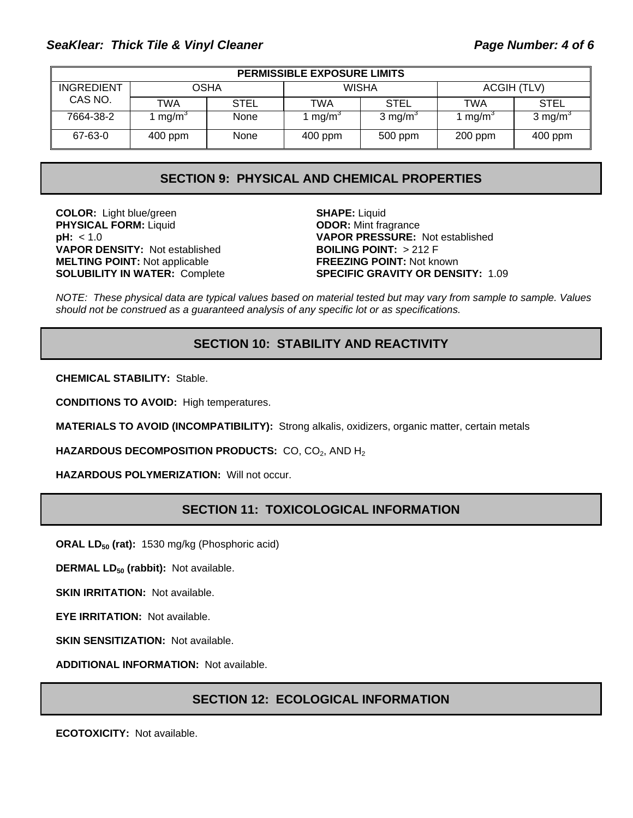## SeaKlear: Thick Tile & Vinyl Cleaner **Page 11 and SeaKlear: 7 and 7 and 7 and 7 and 7 and 7 and 7 and 7 and 7 and 7 and 7 and 7 and 7 and 7 and 7 and 7 and 7 and 7 and 7 and 7 and 7 and 7 and 7 and 7 and 7 and 7 and 7 and**

| <b>PERMISSIBLE EXPOSURE LIMITS</b> |                     |             |                           |                     |                    |             |
|------------------------------------|---------------------|-------------|---------------------------|---------------------|--------------------|-------------|
| <b>INGREDIENT</b>                  | OSHA                |             | <b>WISHA</b>              |                     | ACGIH (TLV)        |             |
| CAS NO.                            | TWA                 | <b>STEL</b> | TWA                       | <b>STEL</b>         | TWA                | <b>STEL</b> |
| 7664-38-2                          | . mg/m <sup>3</sup> | None        | $\cdot$ mg/m <sup>3</sup> | 3 mg/m <sup>3</sup> | $1 \text{ mg/m}^3$ | 3 mg/m $3$  |
| 67-63-0                            | $400$ ppm           | None        | $400$ ppm                 | 500 ppm             | $200$ ppm          | 400 ppm     |

## **SECTION 9: PHYSICAL AND CHEMICAL PROPERTIES**

**COLOR:** Light blue/green **SHAPE:** Liquid **PHYSICAL FORM:** Liquid **ODOR:** Mint fragrance **VAPOR DENSITY:** Not established **BOILING POINT:** > 212 F **MELTING POINT:** Not applicable **FREEZING POINT:** Not known

**pH:** < 1.0 **VAPOR PRESSURE:** Not established **SOLUBILITY IN WATER:** Complete **SPECIFIC GRAVITY OR DENSITY:** 1.09

*NOTE: These physical data are typical values based on material tested but may vary from sample to sample. Values should not be construed as a guaranteed analysis of any specific lot or as specifications.*

## **SECTION 10: STABILITY AND REACTIVITY**

**CHEMICAL STABILITY:** Stable.

**CONDITIONS TO AVOID:** High temperatures.

**MATERIALS TO AVOID (INCOMPATIBILITY):** Strong alkalis, oxidizers, organic matter, certain metals

**HAZARDOUS DECOMPOSITION PRODUCTS:** CO, CO<sub>2</sub>, AND H<sub>2</sub>

**HAZARDOUS POLYMERIZATION:** Will not occur.

## **SECTION 11: TOXICOLOGICAL INFORMATION**

**ORAL LD<sub>50</sub> (rat):** 1530 mg/kg (Phosphoric acid)

**DERMAL LD<sub>50</sub> (rabbit):** Not available.

**SKIN IRRITATION: Not available.** 

**EYE IRRITATION:** Not available.

**SKIN SENSITIZATION: Not available.** 

**ADDITIONAL INFORMATION:** Not available.

### **SECTION 12: ECOLOGICAL INFORMATION**

**ECOTOXICITY:** Not available.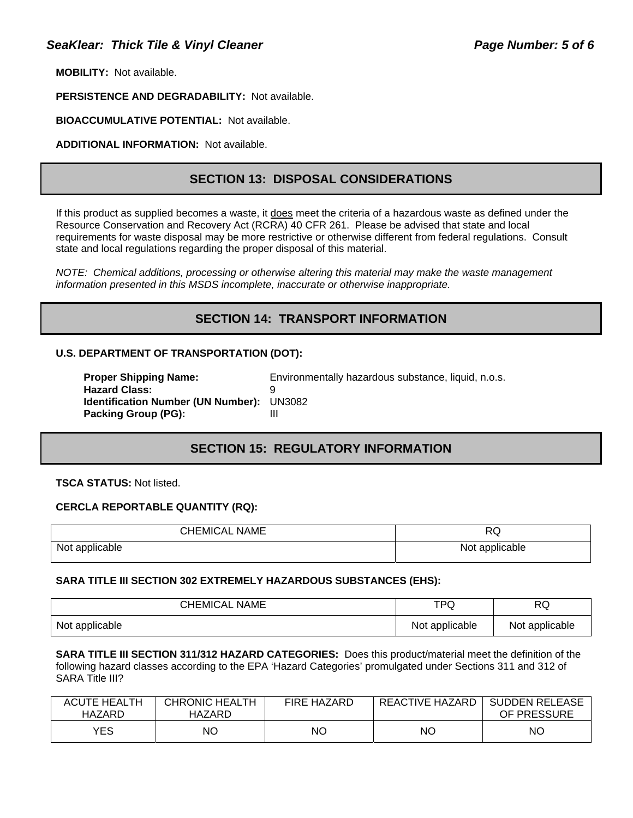**MOBILITY:** Not available.

**PERSISTENCE AND DEGRADABILITY:** Not available.

**BIOACCUMULATIVE POTENTIAL:** Not available.

**ADDITIONAL INFORMATION:** Not available.

## **SECTION 13: DISPOSAL CONSIDERATIONS**

If this product as supplied becomes a waste, it does meet the criteria of a hazardous waste as defined under the Resource Conservation and Recovery Act (RCRA) 40 CFR 261. Please be advised that state and local requirements for waste disposal may be more restrictive or otherwise different from federal regulations. Consult state and local regulations regarding the proper disposal of this material.

*NOTE: Chemical additions, processing or otherwise altering this material may make the waste management information presented in this MSDS incomplete, inaccurate or otherwise inappropriate.* 

## **SECTION 14: TRANSPORT INFORMATION**

### **U.S. DEPARTMENT OF TRANSPORTATION (DOT):**

| <b>Proper Shipping Name:</b>                     | Environmentally hazardous substance, liquid, n.o.s. |
|--------------------------------------------------|-----------------------------------------------------|
| <b>Hazard Class:</b>                             |                                                     |
| <b>Identification Number (UN Number): UN3082</b> |                                                     |
| <b>Packing Group (PG):</b>                       | Ш                                                   |

## **SECTION 15: REGULATORY INFORMATION**

**TSCA STATUS:** Not listed.

### **CERCLA REPORTABLE QUANTITY (RQ):**

| <b>CHEMICAL NAME</b> | RQ             |
|----------------------|----------------|
| Not applicable       | Not applicable |

### **SARA TITLE III SECTION 302 EXTREMELY HAZARDOUS SUBSTANCES (EHS):**

| <b>CHEMICAL NAME</b> | <b>TPQ</b>     | RQ             |
|----------------------|----------------|----------------|
| Not applicable       | Not applicable | Not applicable |

**SARA TITLE III SECTION 311/312 HAZARD CATEGORIES:** Does this product/material meet the definition of the following hazard classes according to the EPA 'Hazard Categories' promulgated under Sections 311 and 312 of SARA Title III?

| <b>ACUTE HEALTH</b><br>HAZARD | CHRONIC HEALTH<br>HAZARD | <b>FIRE HAZARD</b> | REACTIVE HAZARD | <b>SUDDEN RELEASE</b><br>OF PRESSURE |
|-------------------------------|--------------------------|--------------------|-----------------|--------------------------------------|
| <b>YES</b>                    | ΝO                       | <b>NO</b>          | ΝO              | ΝO                                   |